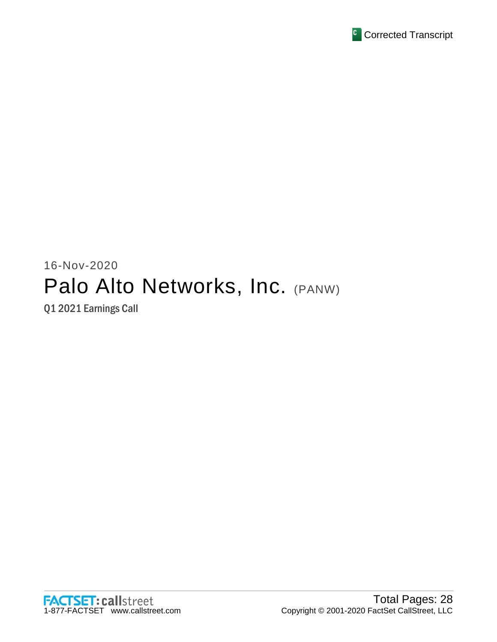

# 16-Nov-2020 Palo Alto Networks, Inc. (PANW)

Q1 2021 Earnings Call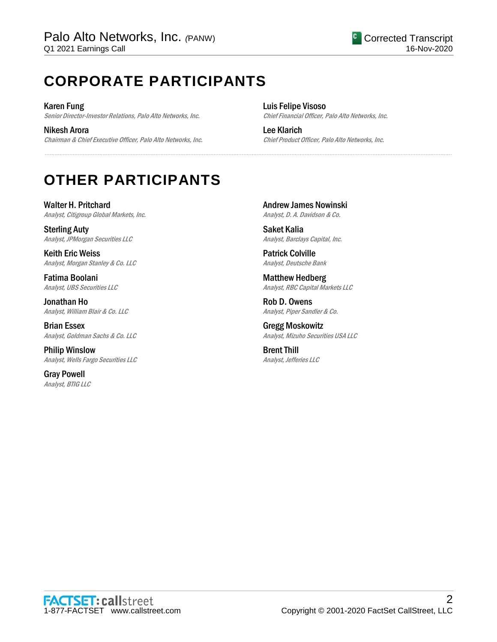# **CORPORATE PARTICIPANTS**

Karen Fung Senior Director-Investor Relations, Palo Alto Networks, Inc.

Nikesh Arora Chairman & Chief Executive Officer, Palo Alto Networks, Inc. Luis Felipe Visoso Chief Financial Officer, Palo Alto Networks, Inc.

Lee Klarich Chief Product Officer, Palo Alto Networks, Inc.

# **OTHER PARTICIPANTS**

Walter H. Pritchard Analyst, Citigroup Global Markets, Inc.

Sterling Auty Analyst, JPMorgan Securities LLC

Keith Eric Weiss Analyst, Morgan Stanley & Co. LLC

Fatima Boolani Analyst, UBS Securities LLC

Jonathan Ho Analyst, William Blair & Co. LLC

Brian Essex Analyst, Goldman Sachs & Co. LLC

Philip Winslow Analyst, Wells Fargo Securities LLC

Gray Powell Analyst, BTIG LLC Andrew James Nowinski Analyst, D. A. Davidson & Co.

......................................................................................................................................................................................................................................................

Saket Kalia Analyst, Barclays Capital, Inc.

Patrick Colville Analyst, Deutsche Bank

Matthew Hedberg Analyst, RBC Capital Markets LLC

Rob D. Owens Analyst, Piper Sandler & Co.

Gregg Moskowitz Analyst, Mizuho Securities USA LLC

Brent Thill Analyst, Jefferies LLC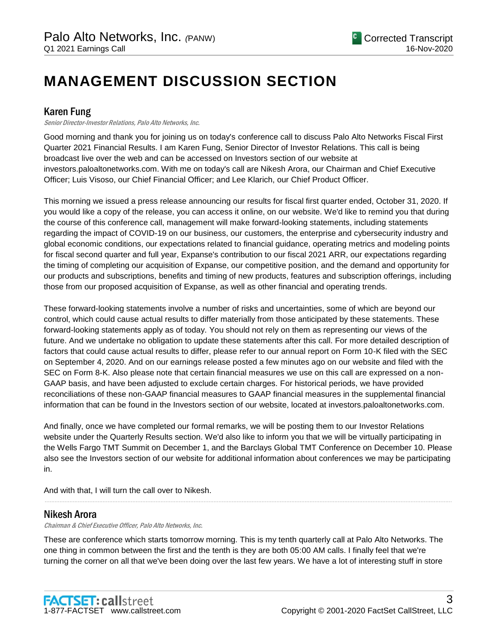# **MANAGEMENT DISCUSSION SECTION**

# Karen Fung

Senior Director-Investor Relations, Palo Alto Networks, Inc.

Good morning and thank you for joining us on today's conference call to discuss Palo Alto Networks Fiscal First Quarter 2021 Financial Results. I am Karen Fung, Senior Director of Investor Relations. This call is being broadcast live over the web and can be accessed on Investors section of our website at investors.paloaltonetworks.com. With me on today's call are Nikesh Arora, our Chairman and Chief Executive Officer; Luis Visoso, our Chief Financial Officer; and Lee Klarich, our Chief Product Officer.

This morning we issued a press release announcing our results for fiscal first quarter ended, October 31, 2020. If you would like a copy of the release, you can access it online, on our website. We'd like to remind you that during the course of this conference call, management will make forward-looking statements, including statements regarding the impact of COVID-19 on our business, our customers, the enterprise and cybersecurity industry and global economic conditions, our expectations related to financial guidance, operating metrics and modeling points for fiscal second quarter and full year, Expanse's contribution to our fiscal 2021 ARR, our expectations regarding the timing of completing our acquisition of Expanse, our competitive position, and the demand and opportunity for our products and subscriptions, benefits and timing of new products, features and subscription offerings, including those from our proposed acquisition of Expanse, as well as other financial and operating trends.

These forward-looking statements involve a number of risks and uncertainties, some of which are beyond our control, which could cause actual results to differ materially from those anticipated by these statements. These forward-looking statements apply as of today. You should not rely on them as representing our views of the future. And we undertake no obligation to update these statements after this call. For more detailed description of factors that could cause actual results to differ, please refer to our annual report on Form 10-K filed with the SEC on September 4, 2020. And on our earnings release posted a few minutes ago on our website and filed with the SEC on Form 8-K. Also please note that certain financial measures we use on this call are expressed on a non-GAAP basis, and have been adjusted to exclude certain charges. For historical periods, we have provided reconciliations of these non-GAAP financial measures to GAAP financial measures in the supplemental financial information that can be found in the Investors section of our website, located at investors.paloaltonetworks.com.

And finally, once we have completed our formal remarks, we will be posting them to our Investor Relations website under the Quarterly Results section. We'd also like to inform you that we will be virtually participating in the Wells Fargo TMT Summit on December 1, and the Barclays Global TMT Conference on December 10. Please also see the Investors section of our website for additional information about conferences we may be participating in.

......................................................................................................................................................................................................................................................

And with that, I will turn the call over to Nikesh.

# Nikesh Arora

Chairman & Chief Executive Officer, Palo Alto Networks, Inc.

These are conference which starts tomorrow morning. This is my tenth quarterly call at Palo Alto Networks. The one thing in common between the first and the tenth is they are both 05:00 AM calls. I finally feel that we're turning the corner on all that we've been doing over the last few years. We have a lot of interesting stuff in store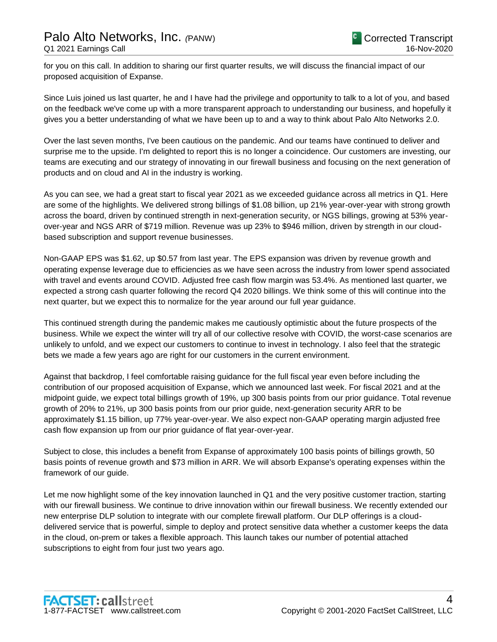for you on this call. In addition to sharing our first quarter results, we will discuss the financial impact of our proposed acquisition of Expanse.

Since Luis joined us last quarter, he and I have had the privilege and opportunity to talk to a lot of you, and based on the feedback we've come up with a more transparent approach to understanding our business, and hopefully it gives you a better understanding of what we have been up to and a way to think about Palo Alto Networks 2.0.

Over the last seven months, I've been cautious on the pandemic. And our teams have continued to deliver and surprise me to the upside. I'm delighted to report this is no longer a coincidence. Our customers are investing, our teams are executing and our strategy of innovating in our firewall business and focusing on the next generation of products and on cloud and AI in the industry is working.

As you can see, we had a great start to fiscal year 2021 as we exceeded guidance across all metrics in Q1. Here are some of the highlights. We delivered strong billings of \$1.08 billion, up 21% year-over-year with strong growth across the board, driven by continued strength in next-generation security, or NGS billings, growing at 53% yearover-year and NGS ARR of \$719 million. Revenue was up 23% to \$946 million, driven by strength in our cloudbased subscription and support revenue businesses.

Non-GAAP EPS was \$1.62, up \$0.57 from last year. The EPS expansion was driven by revenue growth and operating expense leverage due to efficiencies as we have seen across the industry from lower spend associated with travel and events around COVID. Adjusted free cash flow margin was 53.4%. As mentioned last quarter, we expected a strong cash quarter following the record Q4 2020 billings. We think some of this will continue into the next quarter, but we expect this to normalize for the year around our full year guidance.

This continued strength during the pandemic makes me cautiously optimistic about the future prospects of the business. While we expect the winter will try all of our collective resolve with COVID, the worst-case scenarios are unlikely to unfold, and we expect our customers to continue to invest in technology. I also feel that the strategic bets we made a few years ago are right for our customers in the current environment.

Against that backdrop, I feel comfortable raising guidance for the full fiscal year even before including the contribution of our proposed acquisition of Expanse, which we announced last week. For fiscal 2021 and at the midpoint guide, we expect total billings growth of 19%, up 300 basis points from our prior guidance. Total revenue growth of 20% to 21%, up 300 basis points from our prior guide, next-generation security ARR to be approximately \$1.15 billion, up 77% year-over-year. We also expect non-GAAP operating margin adjusted free cash flow expansion up from our prior guidance of flat year-over-year.

Subject to close, this includes a benefit from Expanse of approximately 100 basis points of billings growth, 50 basis points of revenue growth and \$73 million in ARR. We will absorb Expanse's operating expenses within the framework of our guide.

Let me now highlight some of the key innovation launched in Q1 and the very positive customer traction, starting with our firewall business. We continue to drive innovation within our firewall business. We recently extended our new enterprise DLP solution to integrate with our complete firewall platform. Our DLP offerings is a clouddelivered service that is powerful, simple to deploy and protect sensitive data whether a customer keeps the data in the cloud, on-prem or takes a flexible approach. This launch takes our number of potential attached subscriptions to eight from four just two years ago.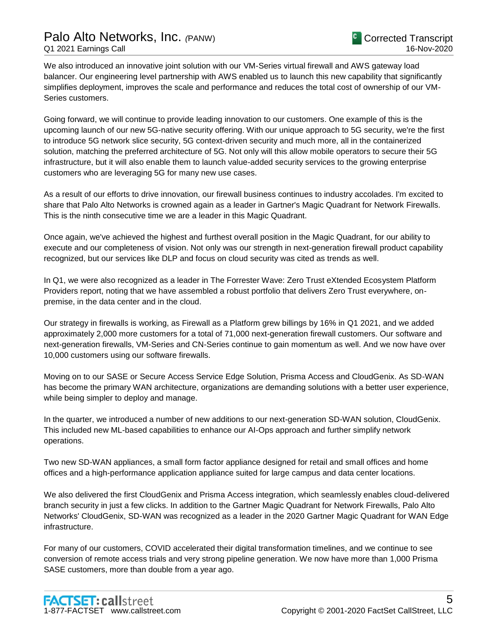We also introduced an innovative joint solution with our VM-Series virtual firewall and AWS gateway load balancer. Our engineering level partnership with AWS enabled us to launch this new capability that significantly simplifies deployment, improves the scale and performance and reduces the total cost of ownership of our VM-Series customers.

Going forward, we will continue to provide leading innovation to our customers. One example of this is the upcoming launch of our new 5G-native security offering. With our unique approach to 5G security, we're the first to introduce 5G network slice security, 5G context-driven security and much more, all in the containerized solution, matching the preferred architecture of 5G. Not only will this allow mobile operators to secure their 5G infrastructure, but it will also enable them to launch value-added security services to the growing enterprise customers who are leveraging 5G for many new use cases.

As a result of our efforts to drive innovation, our firewall business continues to industry accolades. I'm excited to share that Palo Alto Networks is crowned again as a leader in Gartner's Magic Quadrant for Network Firewalls. This is the ninth consecutive time we are a leader in this Magic Quadrant.

Once again, we've achieved the highest and furthest overall position in the Magic Quadrant, for our ability to execute and our completeness of vision. Not only was our strength in next-generation firewall product capability recognized, but our services like DLP and focus on cloud security was cited as trends as well.

In Q1, we were also recognized as a leader in The Forrester Wave: Zero Trust eXtended Ecosystem Platform Providers report, noting that we have assembled a robust portfolio that delivers Zero Trust everywhere, onpremise, in the data center and in the cloud.

Our strategy in firewalls is working, as Firewall as a Platform grew billings by 16% in Q1 2021, and we added approximately 2,000 more customers for a total of 71,000 next-generation firewall customers. Our software and next-generation firewalls, VM-Series and CN-Series continue to gain momentum as well. And we now have over 10,000 customers using our software firewalls.

Moving on to our SASE or Secure Access Service Edge Solution, Prisma Access and CloudGenix. As SD-WAN has become the primary WAN architecture, organizations are demanding solutions with a better user experience, while being simpler to deploy and manage.

In the quarter, we introduced a number of new additions to our next-generation SD-WAN solution, CloudGenix. This included new ML-based capabilities to enhance our AI-Ops approach and further simplify network operations.

Two new SD-WAN appliances, a small form factor appliance designed for retail and small offices and home offices and a high-performance application appliance suited for large campus and data center locations.

We also delivered the first CloudGenix and Prisma Access integration, which seamlessly enables cloud-delivered branch security in just a few clicks. In addition to the Gartner Magic Quadrant for Network Firewalls, Palo Alto Networks' CloudGenix, SD-WAN was recognized as a leader in the 2020 Gartner Magic Quadrant for WAN Edge infrastructure.

For many of our customers, COVID accelerated their digital transformation timelines, and we continue to see conversion of remote access trials and very strong pipeline generation. We now have more than 1,000 Prisma SASE customers, more than double from a year ago.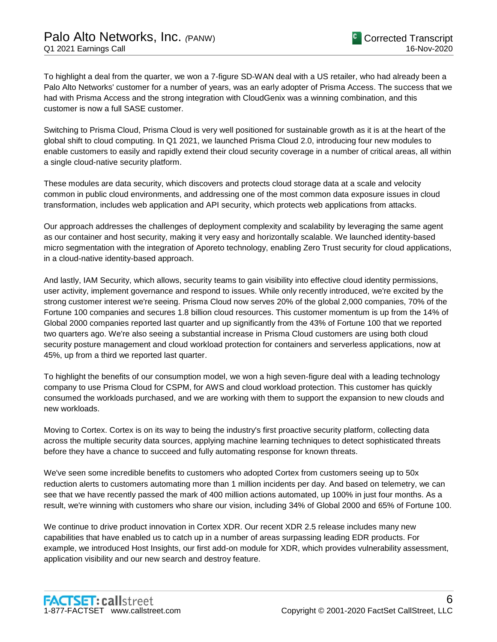To highlight a deal from the quarter, we won a 7-figure SD-WAN deal with a US retailer, who had already been a Palo Alto Networks' customer for a number of years, was an early adopter of Prisma Access. The success that we had with Prisma Access and the strong integration with CloudGenix was a winning combination, and this customer is now a full SASE customer.

Switching to Prisma Cloud, Prisma Cloud is very well positioned for sustainable growth as it is at the heart of the global shift to cloud computing. In Q1 2021, we launched Prisma Cloud 2.0, introducing four new modules to enable customers to easily and rapidly extend their cloud security coverage in a number of critical areas, all within a single cloud-native security platform.

These modules are data security, which discovers and protects cloud storage data at a scale and velocity common in public cloud environments, and addressing one of the most common data exposure issues in cloud transformation, includes web application and API security, which protects web applications from attacks.

Our approach addresses the challenges of deployment complexity and scalability by leveraging the same agent as our container and host security, making it very easy and horizontally scalable. We launched identity-based micro segmentation with the integration of Aporeto technology, enabling Zero Trust security for cloud applications, in a cloud-native identity-based approach.

And lastly, IAM Security, which allows, security teams to gain visibility into effective cloud identity permissions, user activity, implement governance and respond to issues. While only recently introduced, we're excited by the strong customer interest we're seeing. Prisma Cloud now serves 20% of the global 2,000 companies, 70% of the Fortune 100 companies and secures 1.8 billion cloud resources. This customer momentum is up from the 14% of Global 2000 companies reported last quarter and up significantly from the 43% of Fortune 100 that we reported two quarters ago. We're also seeing a substantial increase in Prisma Cloud customers are using both cloud security posture management and cloud workload protection for containers and serverless applications, now at 45%, up from a third we reported last quarter.

To highlight the benefits of our consumption model, we won a high seven-figure deal with a leading technology company to use Prisma Cloud for CSPM, for AWS and cloud workload protection. This customer has quickly consumed the workloads purchased, and we are working with them to support the expansion to new clouds and new workloads.

Moving to Cortex. Cortex is on its way to being the industry's first proactive security platform, collecting data across the multiple security data sources, applying machine learning techniques to detect sophisticated threats before they have a chance to succeed and fully automating response for known threats.

We've seen some incredible benefits to customers who adopted Cortex from customers seeing up to 50x reduction alerts to customers automating more than 1 million incidents per day. And based on telemetry, we can see that we have recently passed the mark of 400 million actions automated, up 100% in just four months. As a result, we're winning with customers who share our vision, including 34% of Global 2000 and 65% of Fortune 100.

We continue to drive product innovation in Cortex XDR. Our recent XDR 2.5 release includes many new capabilities that have enabled us to catch up in a number of areas surpassing leading EDR products. For example, we introduced Host Insights, our first add-on module for XDR, which provides vulnerability assessment, application visibility and our new search and destroy feature.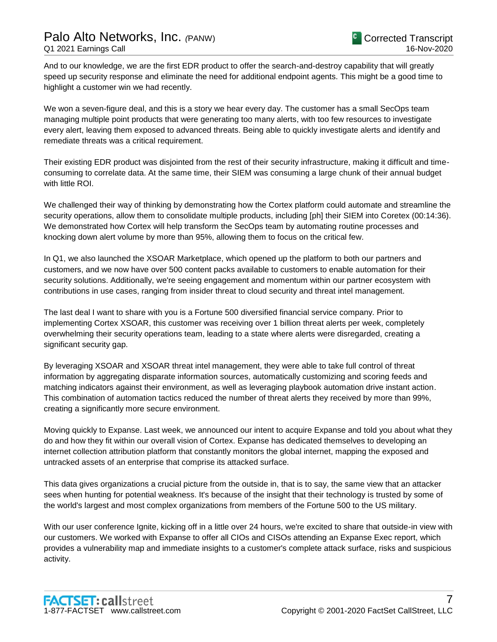And to our knowledge, we are the first EDR product to offer the search-and-destroy capability that will greatly speed up security response and eliminate the need for additional endpoint agents. This might be a good time to highlight a customer win we had recently.

We won a seven-figure deal, and this is a story we hear every day. The customer has a small SecOps team managing multiple point products that were generating too many alerts, with too few resources to investigate every alert, leaving them exposed to advanced threats. Being able to quickly investigate alerts and identify and remediate threats was a critical requirement.

Their existing EDR product was disjointed from the rest of their security infrastructure, making it difficult and timeconsuming to correlate data. At the same time, their SIEM was consuming a large chunk of their annual budget with little ROI.

We challenged their way of thinking by demonstrating how the Cortex platform could automate and streamline the security operations, allow them to consolidate multiple products, including [ph] their SIEM into Coretex (00:14:36). We demonstrated how Cortex will help transform the SecOps team by automating routine processes and knocking down alert volume by more than 95%, allowing them to focus on the critical few.

In Q1, we also launched the XSOAR Marketplace, which opened up the platform to both our partners and customers, and we now have over 500 content packs available to customers to enable automation for their security solutions. Additionally, we're seeing engagement and momentum within our partner ecosystem with contributions in use cases, ranging from insider threat to cloud security and threat intel management.

The last deal I want to share with you is a Fortune 500 diversified financial service company. Prior to implementing Cortex XSOAR, this customer was receiving over 1 billion threat alerts per week, completely overwhelming their security operations team, leading to a state where alerts were disregarded, creating a significant security gap.

By leveraging XSOAR and XSOAR threat intel management, they were able to take full control of threat information by aggregating disparate information sources, automatically customizing and scoring feeds and matching indicators against their environment, as well as leveraging playbook automation drive instant action. This combination of automation tactics reduced the number of threat alerts they received by more than 99%, creating a significantly more secure environment.

Moving quickly to Expanse. Last week, we announced our intent to acquire Expanse and told you about what they do and how they fit within our overall vision of Cortex. Expanse has dedicated themselves to developing an internet collection attribution platform that constantly monitors the global internet, mapping the exposed and untracked assets of an enterprise that comprise its attacked surface.

This data gives organizations a crucial picture from the outside in, that is to say, the same view that an attacker sees when hunting for potential weakness. It's because of the insight that their technology is trusted by some of the world's largest and most complex organizations from members of the Fortune 500 to the US military.

With our user conference Ignite, kicking off in a little over 24 hours, we're excited to share that outside-in view with our customers. We worked with Expanse to offer all CIOs and CISOs attending an Expanse Exec report, which provides a vulnerability map and immediate insights to a customer's complete attack surface, risks and suspicious activity.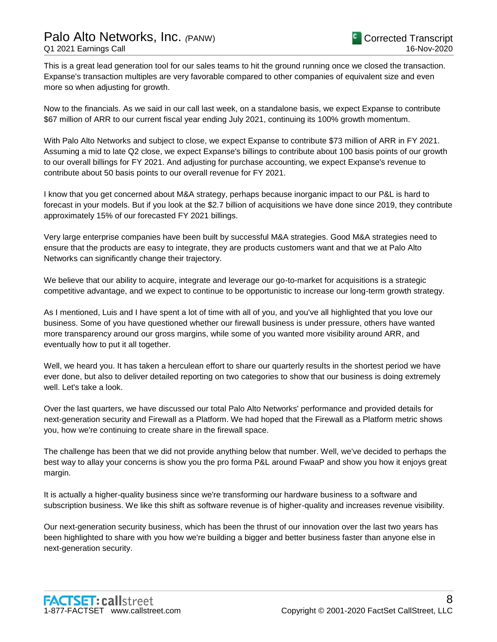This is a great lead generation tool for our sales teams to hit the ground running once we closed the transaction. Expanse's transaction multiples are very favorable compared to other companies of equivalent size and even more so when adjusting for growth.

Now to the financials. As we said in our call last week, on a standalone basis, we expect Expanse to contribute \$67 million of ARR to our current fiscal year ending July 2021, continuing its 100% growth momentum.

With Palo Alto Networks and subject to close, we expect Expanse to contribute \$73 million of ARR in FY 2021. Assuming a mid to late Q2 close, we expect Expanse's billings to contribute about 100 basis points of our growth to our overall billings for FY 2021. And adjusting for purchase accounting, we expect Expanse's revenue to contribute about 50 basis points to our overall revenue for FY 2021.

I know that you get concerned about M&A strategy, perhaps because inorganic impact to our P&L is hard to forecast in your models. But if you look at the \$2.7 billion of acquisitions we have done since 2019, they contribute approximately 15% of our forecasted FY 2021 billings.

Very large enterprise companies have been built by successful M&A strategies. Good M&A strategies need to ensure that the products are easy to integrate, they are products customers want and that we at Palo Alto Networks can significantly change their trajectory.

We believe that our ability to acquire, integrate and leverage our go-to-market for acquisitions is a strategic competitive advantage, and we expect to continue to be opportunistic to increase our long-term growth strategy.

As I mentioned, Luis and I have spent a lot of time with all of you, and you've all highlighted that you love our business. Some of you have questioned whether our firewall business is under pressure, others have wanted more transparency around our gross margins, while some of you wanted more visibility around ARR, and eventually how to put it all together.

Well, we heard you. It has taken a herculean effort to share our quarterly results in the shortest period we have ever done, but also to deliver detailed reporting on two categories to show that our business is doing extremely well. Let's take a look.

Over the last quarters, we have discussed our total Palo Alto Networks' performance and provided details for next-generation security and Firewall as a Platform. We had hoped that the Firewall as a Platform metric shows you, how we're continuing to create share in the firewall space.

The challenge has been that we did not provide anything below that number. Well, we've decided to perhaps the best way to allay your concerns is show you the pro forma P&L around FwaaP and show you how it enjoys great margin.

It is actually a higher-quality business since we're transforming our hardware business to a software and subscription business. We like this shift as software revenue is of higher-quality and increases revenue visibility.

Our next-generation security business, which has been the thrust of our innovation over the last two years has been highlighted to share with you how we're building a bigger and better business faster than anyone else in next-generation security.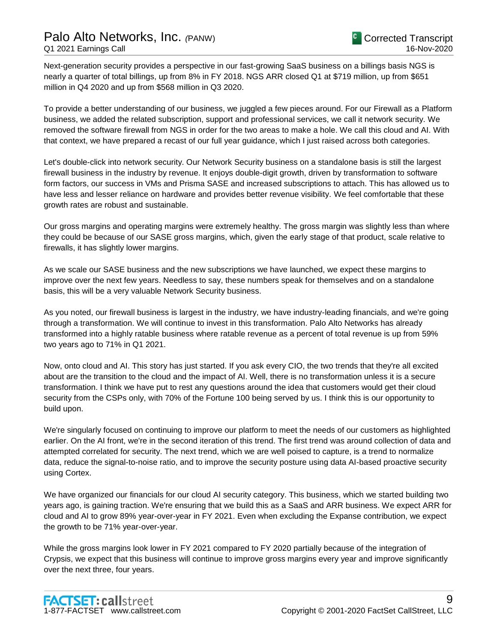Next-generation security provides a perspective in our fast-growing SaaS business on a billings basis NGS is nearly a quarter of total billings, up from 8% in FY 2018. NGS ARR closed Q1 at \$719 million, up from \$651 million in Q4 2020 and up from \$568 million in Q3 2020.

To provide a better understanding of our business, we juggled a few pieces around. For our Firewall as a Platform business, we added the related subscription, support and professional services, we call it network security. We removed the software firewall from NGS in order for the two areas to make a hole. We call this cloud and AI. With that context, we have prepared a recast of our full year guidance, which I just raised across both categories.

Let's double-click into network security. Our Network Security business on a standalone basis is still the largest firewall business in the industry by revenue. It enjoys double-digit growth, driven by transformation to software form factors, our success in VMs and Prisma SASE and increased subscriptions to attach. This has allowed us to have less and lesser reliance on hardware and provides better revenue visibility. We feel comfortable that these growth rates are robust and sustainable.

Our gross margins and operating margins were extremely healthy. The gross margin was slightly less than where they could be because of our SASE gross margins, which, given the early stage of that product, scale relative to firewalls, it has slightly lower margins.

As we scale our SASE business and the new subscriptions we have launched, we expect these margins to improve over the next few years. Needless to say, these numbers speak for themselves and on a standalone basis, this will be a very valuable Network Security business.

As you noted, our firewall business is largest in the industry, we have industry-leading financials, and we're going through a transformation. We will continue to invest in this transformation. Palo Alto Networks has already transformed into a highly ratable business where ratable revenue as a percent of total revenue is up from 59% two years ago to 71% in Q1 2021.

Now, onto cloud and AI. This story has just started. If you ask every CIO, the two trends that they're all excited about are the transition to the cloud and the impact of AI. Well, there is no transformation unless it is a secure transformation. I think we have put to rest any questions around the idea that customers would get their cloud security from the CSPs only, with 70% of the Fortune 100 being served by us. I think this is our opportunity to build upon.

We're singularly focused on continuing to improve our platform to meet the needs of our customers as highlighted earlier. On the AI front, we're in the second iteration of this trend. The first trend was around collection of data and attempted correlated for security. The next trend, which we are well poised to capture, is a trend to normalize data, reduce the signal-to-noise ratio, and to improve the security posture using data AI-based proactive security using Cortex.

We have organized our financials for our cloud AI security category. This business, which we started building two years ago, is gaining traction. We're ensuring that we build this as a SaaS and ARR business. We expect ARR for cloud and AI to grow 89% year-over-year in FY 2021. Even when excluding the Expanse contribution, we expect the growth to be 71% year-over-year.

While the gross margins look lower in FY 2021 compared to FY 2020 partially because of the integration of Crypsis, we expect that this business will continue to improve gross margins every year and improve significantly over the next three, four years.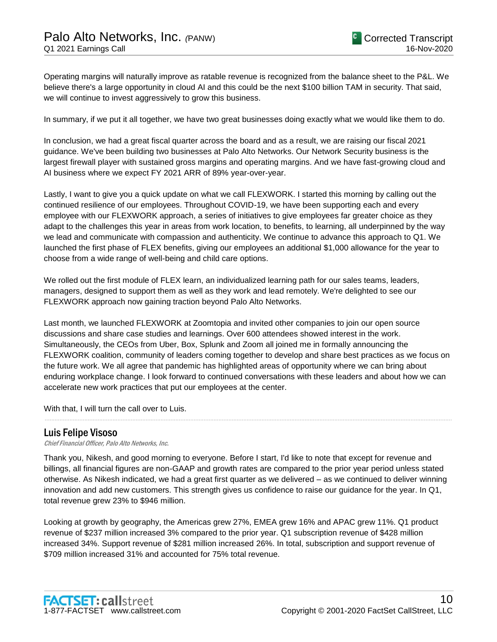Operating margins will naturally improve as ratable revenue is recognized from the balance sheet to the P&L. We believe there's a large opportunity in cloud AI and this could be the next \$100 billion TAM in security. That said, we will continue to invest aggressively to grow this business.

In summary, if we put it all together, we have two great businesses doing exactly what we would like them to do.

In conclusion, we had a great fiscal quarter across the board and as a result, we are raising our fiscal 2021 guidance. We've been building two businesses at Palo Alto Networks. Our Network Security business is the largest firewall player with sustained gross margins and operating margins. And we have fast-growing cloud and AI business where we expect FY 2021 ARR of 89% year-over-year.

Lastly, I want to give you a quick update on what we call FLEXWORK. I started this morning by calling out the continued resilience of our employees. Throughout COVID-19, we have been supporting each and every employee with our FLEXWORK approach, a series of initiatives to give employees far greater choice as they adapt to the challenges this year in areas from work location, to benefits, to learning, all underpinned by the way we lead and communicate with compassion and authenticity. We continue to advance this approach to Q1. We launched the first phase of FLEX benefits, giving our employees an additional \$1,000 allowance for the year to choose from a wide range of well-being and child care options.

We rolled out the first module of FLEX learn, an individualized learning path for our sales teams, leaders, managers, designed to support them as well as they work and lead remotely. We're delighted to see our FLEXWORK approach now gaining traction beyond Palo Alto Networks.

Last month, we launched FLEXWORK at Zoomtopia and invited other companies to join our open source discussions and share case studies and learnings. Over 600 attendees showed interest in the work. Simultaneously, the CEOs from Uber, Box, Splunk and Zoom all joined me in formally announcing the FLEXWORK coalition, community of leaders coming together to develop and share best practices as we focus on the future work. We all agree that pandemic has highlighted areas of opportunity where we can bring about enduring workplace change. I look forward to continued conversations with these leaders and about how we can accelerate new work practices that put our employees at the center.

......................................................................................................................................................................................................................................................

With that, I will turn the call over to Luis.

# Luis Felipe Visoso

Chief Financial Officer, Palo Alto Networks, Inc.

Thank you, Nikesh, and good morning to everyone. Before I start, I'd like to note that except for revenue and billings, all financial figures are non-GAAP and growth rates are compared to the prior year period unless stated otherwise. As Nikesh indicated, we had a great first quarter as we delivered – as we continued to deliver winning innovation and add new customers. This strength gives us confidence to raise our guidance for the year. In Q1, total revenue grew 23% to \$946 million.

Looking at growth by geography, the Americas grew 27%, EMEA grew 16% and APAC grew 11%. Q1 product revenue of \$237 million increased 3% compared to the prior year. Q1 subscription revenue of \$428 million increased 34%. Support revenue of \$281 million increased 26%. In total, subscription and support revenue of \$709 million increased 31% and accounted for 75% total revenue.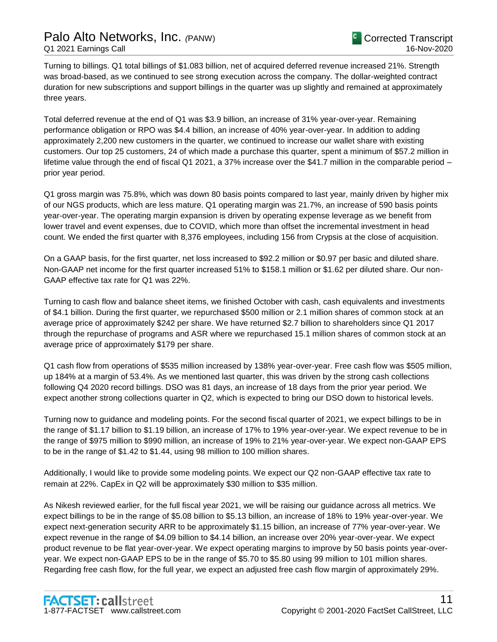Turning to billings. Q1 total billings of \$1.083 billion, net of acquired deferred revenue increased 21%. Strength was broad-based, as we continued to see strong execution across the company. The dollar-weighted contract duration for new subscriptions and support billings in the quarter was up slightly and remained at approximately three years.

Total deferred revenue at the end of Q1 was \$3.9 billion, an increase of 31% year-over-year. Remaining performance obligation or RPO was \$4.4 billion, an increase of 40% year-over-year. In addition to adding approximately 2,200 new customers in the quarter, we continued to increase our wallet share with existing customers. Our top 25 customers, 24 of which made a purchase this quarter, spent a minimum of \$57.2 million in lifetime value through the end of fiscal Q1 2021, a 37% increase over the \$41.7 million in the comparable period – prior year period.

Q1 gross margin was 75.8%, which was down 80 basis points compared to last year, mainly driven by higher mix of our NGS products, which are less mature. Q1 operating margin was 21.7%, an increase of 590 basis points year-over-year. The operating margin expansion is driven by operating expense leverage as we benefit from lower travel and event expenses, due to COVID, which more than offset the incremental investment in head count. We ended the first quarter with 8,376 employees, including 156 from Crypsis at the close of acquisition.

On a GAAP basis, for the first quarter, net loss increased to \$92.2 million or \$0.97 per basic and diluted share. Non-GAAP net income for the first quarter increased 51% to \$158.1 million or \$1.62 per diluted share. Our non-GAAP effective tax rate for Q1 was 22%.

Turning to cash flow and balance sheet items, we finished October with cash, cash equivalents and investments of \$4.1 billion. During the first quarter, we repurchased \$500 million or 2.1 million shares of common stock at an average price of approximately \$242 per share. We have returned \$2.7 billion to shareholders since Q1 2017 through the repurchase of programs and ASR where we repurchased 15.1 million shares of common stock at an average price of approximately \$179 per share.

Q1 cash flow from operations of \$535 million increased by 138% year-over-year. Free cash flow was \$505 million, up 184% at a margin of 53.4%. As we mentioned last quarter, this was driven by the strong cash collections following Q4 2020 record billings. DSO was 81 days, an increase of 18 days from the prior year period. We expect another strong collections quarter in Q2, which is expected to bring our DSO down to historical levels.

Turning now to guidance and modeling points. For the second fiscal quarter of 2021, we expect billings to be in the range of \$1.17 billion to \$1.19 billion, an increase of 17% to 19% year-over-year. We expect revenue to be in the range of \$975 million to \$990 million, an increase of 19% to 21% year-over-year. We expect non-GAAP EPS to be in the range of \$1.42 to \$1.44, using 98 million to 100 million shares.

Additionally, I would like to provide some modeling points. We expect our Q2 non-GAAP effective tax rate to remain at 22%. CapEx in Q2 will be approximately \$30 million to \$35 million.

As Nikesh reviewed earlier, for the full fiscal year 2021, we will be raising our guidance across all metrics. We expect billings to be in the range of \$5.08 billion to \$5.13 billion, an increase of 18% to 19% year-over-year. We expect next-generation security ARR to be approximately \$1.15 billion, an increase of 77% year-over-year. We expect revenue in the range of \$4.09 billion to \$4.14 billion, an increase over 20% year-over-year. We expect product revenue to be flat year-over-year. We expect operating margins to improve by 50 basis points year-overyear. We expect non-GAAP EPS to be in the range of \$5.70 to \$5.80 using 99 million to 101 million shares. Regarding free cash flow, for the full year, we expect an adjusted free cash flow margin of approximately 29%.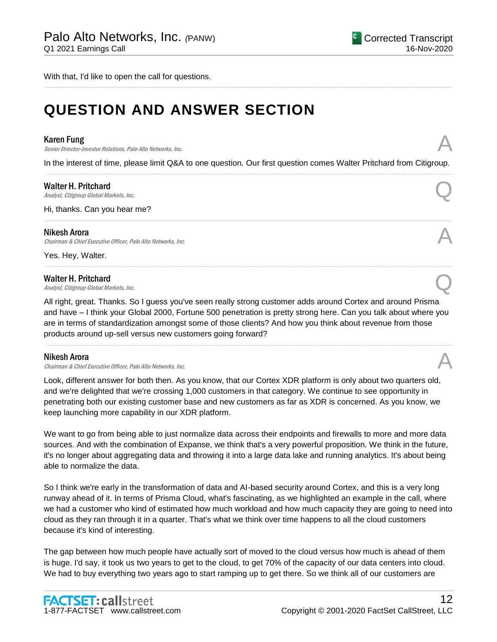With that, I'd like to open the call for questions.

# **QUESTION AND ANSWER SECTION**

#### Karen Fung

**Karen Fung**<br>Senior Director-Investor Relations, Palo Alto Networks, Inc.

In the interest of time, please limit Q&A to one question. Our first question comes Walter Pritchard from Citigroup. ......................................................................................................................................................................................................................................................

......................................................................................................................................................................................................................................................

......................................................................................................................................................................................................................................................

......................................................................................................................................................................................................................................................

#### Walter H. Pritchard

Walter H. Pritchard  $\bigcap_{\text{Analytic},\text{Cit}(\text{Sipump})}$ 

Hi, thanks. Can you hear me?

#### Nikesh Arora

Chairman & Chief Executive Officer, Palo Alto Networks, Inc.

Yes. Hey, Walter.

Walter H. Pritchard<br>Analyst, Citigroup Global Markets, Inc. Walter H. Pritchard  $\bigcap_{\text{Analytic},\text{Cit}(\text{group Global Markets},\text{Inc})}$ 

All right, great. Thanks. So I guess you've seen really strong customer adds around Cortex and around Prisma and have – I think your Global 2000, Fortune 500 penetration is pretty strong here. Can you talk about where you are in terms of standardization amongst some of those clients? And how you think about revenue from those products around up-sell versus new customers going forward?

......................................................................................................................................................................................................................................................

#### Nikesh Arora

Chairman & Chief Executive Officer, Palo Alto Networks, Inc.

Look, different answer for both then. As you know, that our Cortex XDR platform is only about two quarters old, and we're delighted that we're crossing 1,000 customers in that category. We continue to see opportunity in penetrating both our existing customer base and new customers as far as XDR is concerned. As you know, we keep launching more capability in our XDR platform.

We want to go from being able to just normalize data across their endpoints and firewalls to more and more data sources. And with the combination of Expanse, we think that's a very powerful proposition. We think in the future, it's no longer about aggregating data and throwing it into a large data lake and running analytics. It's about being able to normalize the data.

So I think we're early in the transformation of data and AI-based security around Cortex, and this is a very long runway ahead of it. In terms of Prisma Cloud, what's fascinating, as we highlighted an example in the call, where we had a customer who kind of estimated how much workload and how much capacity they are going to need into cloud as they ran through it in a quarter. That's what we think over time happens to all the cloud customers because it's kind of interesting.

The gap between how much people have actually sort of moved to the cloud versus how much is ahead of them is huge. I'd say, it took us two years to get to the cloud, to get 70% of the capacity of our data centers into cloud. We had to buy everything two years ago to start ramping up to get there. So we think all of our customers are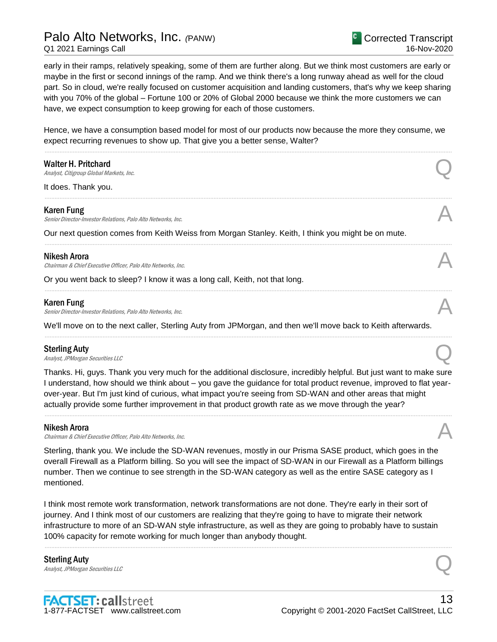# Palo Alto Networks, Inc. *(*PANW)

Q1 2021 Earnings Call

Corrected Transcript 16-Nov-2020

early in their ramps, relatively speaking, some of them are further along. But we think most customers are early or maybe in the first or second innings of the ramp. And we think there's a long runway ahead as well for the cloud part. So in cloud, we're really focused on customer acquisition and landing customers, that's why we keep sharing with you 70% of the global – Fortune 100 or 20% of Global 2000 because we think the more customers we can have, we expect consumption to keep growing for each of those customers.

Hence, we have a consumption based model for most of our products now because the more they consume, we expect recurring revenues to show up. That give you a better sense, Walter?

......................................................................................................................................................................................................................................................

......................................................................................................................................................................................................................................................

......................................................................................................................................................................................................................................................

......................................................................................................................................................................................................................................................

......................................................................................................................................................................................................................................................

| <b>Walter H. Pritchard</b> |  |
|----------------------------|--|
|----------------------------|--|

Walter H. Pritchard  $\bigcap_{\text{Analytic},\text{Cit}(\text{group Global Markets},\text{Inc})}$ 

It does. Thank you.

#### Karen Fung

Senior Director-Investor Relations, Palo Alto Networks, Inc.

Our next question comes from Keith Weiss from Morgan Stanley. Keith, I think you might be on mute.

#### Nikesh Arora

Nikesh Arora<br>Chairman & Chief Executive Officer, Palo Alto Networks, Inc.

Or you went back to sleep? I know it was a long call, Keith, not that long.

#### Karen Fung

Senior Director-Investor Relations, Palo Alto Networks, Inc.

We'll move on to the next caller, Sterling Auty from JPMorgan, and then we'll move back to Keith afterwards.

#### Sterling Auty

Sterling Auty  $\bigodot$ <br>Analyst, JPMorgan Securities LLC

Thanks. Hi, guys. Thank you very much for the additional disclosure, incredibly helpful. But just want to make sure I understand, how should we think about – you gave the guidance for total product revenue, improved to flat yearover-year. But I'm just kind of curious, what impact you're seeing from SD-WAN and other areas that might actually provide some further improvement in that product growth rate as we move through the year?

......................................................................................................................................................................................................................................................

#### Nikesh Arora

Chairman & Chief Executive Officer, Palo Alto Networks, Inc.

Sterling, thank you. We include the SD-WAN revenues, mostly in our Prisma SASE product, which goes in the overall Firewall as a Platform billing. So you will see the impact of SD-WAN in our Firewall as a Platform billings number. Then we continue to see strength in the SD-WAN category as well as the entire SASE category as I mentioned.

I think most remote work transformation, network transformations are not done. They're early in their sort of journey. And I think most of our customers are realizing that they're going to have to migrate their network infrastructure to more of an SD-WAN style infrastructure, as well as they are going to probably have to sustain 100% capacity for remote working for much longer than anybody thought.

......................................................................................................................................................................................................................................................

Sterling Auty Sterling Auty  $\bigodot$ <br>Analyst, JPMorgan Securities LLC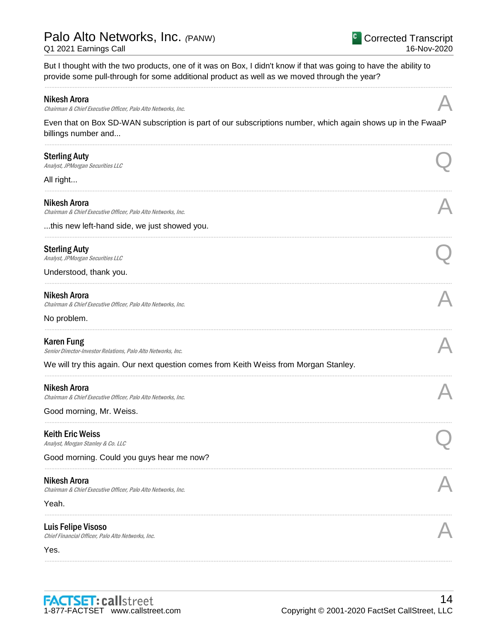But I thought with the two products, one of it was on Box, I didn't know if that was going to have the ability to provide some pull-through for some additional product as well as we moved through the year?

#### **Nikesh Arora**

Chairman & Chief Executive Officer, Palo Alto Networks, Inc.

Even that on Box SD-WAN subscription is part of our subscriptions number, which again shows up in the FwaaP billings number and...

| <b>Sterling Auty</b><br>Analyst, JPMorgan Securities LLC<br>All right                                                                                                      |  |
|----------------------------------------------------------------------------------------------------------------------------------------------------------------------------|--|
| <b>Nikesh Arora</b><br>Chairman & Chief Executive Officer, Palo Alto Networks, Inc.                                                                                        |  |
| this new left-hand side, we just showed you.                                                                                                                               |  |
| <b>Sterling Auty</b><br>Analyst, JPMorgan Securities LLC                                                                                                                   |  |
| Understood, thank you.                                                                                                                                                     |  |
| Nikesh Arora<br>Chairman & Chief Executive Officer, Palo Alto Networks, Inc.<br>No problem.                                                                                |  |
| <b>Karen Fung</b><br>Senior Director-Investor Relations, Palo Alto Networks, Inc.<br>We will try this again. Our next question comes from Keith Weiss from Morgan Stanley. |  |
|                                                                                                                                                                            |  |
| <b>Nikesh Arora</b><br>Chairman & Chief Executive Officer, Palo Alto Networks, Inc.                                                                                        |  |
| Good morning, Mr. Weiss.                                                                                                                                                   |  |
| <b>Keith Eric Weiss</b><br>Analyst, Morgan Stanley & Co. LLC                                                                                                               |  |
| Good morning. Could you guys hear me now?                                                                                                                                  |  |
| <b>Nikesh Arora</b><br>Chairman & Chief Executive Officer, Palo Alto Networks, Inc.                                                                                        |  |
| Yeah.                                                                                                                                                                      |  |
| <b>Luis Felipe Visoso</b><br>Chief Financial Officer, Palo Alto Networks, Inc.                                                                                             |  |
| Yes.                                                                                                                                                                       |  |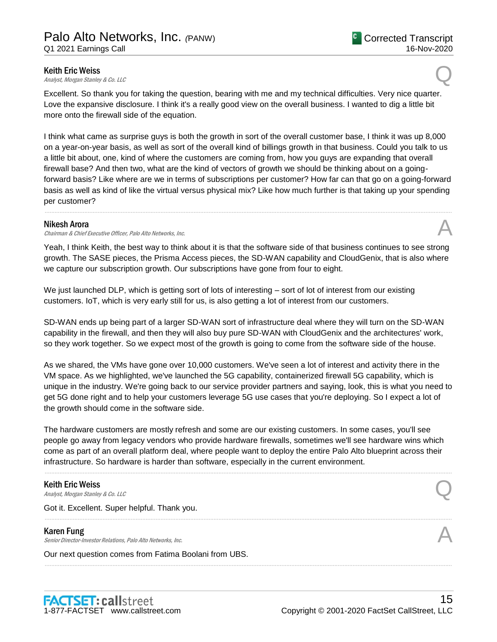**Keith Eric Weiss**<br>Analyst, Morgan Stanley & Co. LLC **Keith Eric Weiss**<br>Analyst, Morgan Stanley & Co. LLC  $\bigotimes$ 

Excellent. So thank you for taking the question, bearing with me and my technical difficulties. Very nice quarter. Love the expansive disclosure. I think it's a really good view on the overall business. I wanted to dig a little bit more onto the firewall side of the equation.

I think what came as surprise guys is both the growth in sort of the overall customer base, I think it was up 8,000 on a year-on-year basis, as well as sort of the overall kind of billings growth in that business. Could you talk to us a little bit about, one, kind of where the customers are coming from, how you guys are expanding that overall firewall base? And then two, what are the kind of vectors of growth we should be thinking about on a goingforward basis? Like where are we in terms of subscriptions per customer? How far can that go on a going-forward basis as well as kind of like the virtual versus physical mix? Like how much further is that taking up your spending per customer?

......................................................................................................................................................................................................................................................

#### Nikesh Arora

Chairman & Chief Executive Officer, Palo Alto Networks, Inc.

Yeah, I think Keith, the best way to think about it is that the software side of that business continues to see strong growth. The SASE pieces, the Prisma Access pieces, the SD-WAN capability and CloudGenix, that is also where we capture our subscription growth. Our subscriptions have gone from four to eight.

We just launched DLP, which is getting sort of lots of interesting – sort of lot of interest from our existing customers. IoT, which is very early still for us, is also getting a lot of interest from our customers.

SD-WAN ends up being part of a larger SD-WAN sort of infrastructure deal where they will turn on the SD-WAN capability in the firewall, and then they will also buy pure SD-WAN with CloudGenix and the architectures' work, so they work together. So we expect most of the growth is going to come from the software side of the house.

As we shared, the VMs have gone over 10,000 customers. We've seen a lot of interest and activity there in the VM space. As we highlighted, we've launched the 5G capability, containerized firewall 5G capability, which is unique in the industry. We're going back to our service provider partners and saying, look, this is what you need to get 5G done right and to help your customers leverage 5G use cases that you're deploying. So I expect a lot of the growth should come in the software side.

The hardware customers are mostly refresh and some are our existing customers. In some cases, you'll see people go away from legacy vendors who provide hardware firewalls, sometimes we'll see hardware wins which come as part of an overall platform deal, where people want to deploy the entire Palo Alto blueprint across their infrastructure. So hardware is harder than software, especially in the current environment.

......................................................................................................................................................................................................................................................

......................................................................................................................................................................................................................................................

......................................................................................................................................................................................................................................................

# Keith Eric Weiss

**Keith Eric Weiss**<br>Analyst, Morgan Stanley & Co. LLC  $\bigotimes$ 

Got it. Excellent. Super helpful. Thank you.

#### Karen Fung

Senior Director-Investor Relations, Palo Alto Networks, Inc.

Our next question comes from Fatima Boolani from UBS.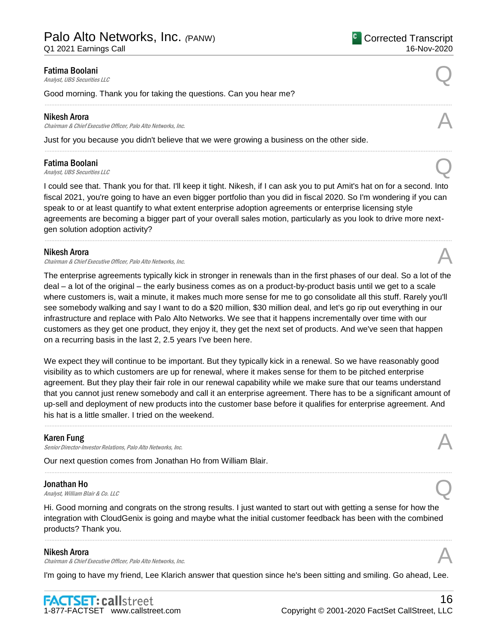Q1 2021 Earnings Call

# **Fatima Boolani**<br>Analyst, UBS Securities LLC **Fatima Boolani**<br>Analyst, UBS Securities LLC

Good morning. Thank you for taking the questions. Can you hear me?

#### Nikesh Arora

Chairman & Chief Executive Officer, Palo Alto Networks, Inc.

Just for you because you didn't believe that we were growing a business on the other side.

**Fatima Boolani**<br>Analyst, UBS Securities LLC **Fatima Boolani**<br>Analyst, UBS Securities LLC

I could see that. Thank you for that. I'll keep it tight. Nikesh, if I can ask you to put Amit's hat on for a second. Into fiscal 2021, you're going to have an even bigger portfolio than you did in fiscal 2020. So I'm wondering if you can speak to or at least quantify to what extent enterprise adoption agreements or enterprise licensing style agreements are becoming a bigger part of your overall sales motion, particularly as you look to drive more nextgen solution adoption activity?

......................................................................................................................................................................................................................................................

......................................................................................................................................................................................................................................................

......................................................................................................................................................................................................................................................

#### Nikesh Arora

**Nikesh Arora**<br>Chairman & Chief Executive Officer, Palo Alto Networks, Inc. And the comparation of the chairman & Chief Executive Officer, Palo Alto Networks, Inc.

The enterprise agreements typically kick in stronger in renewals than in the first phases of our deal. So a lot of the deal – a lot of the original – the early business comes as on a product-by-product basis until we get to a scale where customers is, wait a minute, it makes much more sense for me to go consolidate all this stuff. Rarely you'll see somebody walking and say I want to do a \$20 million, \$30 million deal, and let's go rip out everything in our infrastructure and replace with Palo Alto Networks. We see that it happens incrementally over time with our customers as they get one product, they enjoy it, they get the next set of products. And we've seen that happen on a recurring basis in the last 2, 2.5 years I've been here.

We expect they will continue to be important. But they typically kick in a renewal. So we have reasonably good visibility as to which customers are up for renewal, where it makes sense for them to be pitched enterprise agreement. But they play their fair role in our renewal capability while we make sure that our teams understand that you cannot just renew somebody and call it an enterprise agreement. There has to be a significant amount of up-sell and deployment of new products into the customer base before it qualifies for enterprise agreement. And his hat is a little smaller. I tried on the weekend.

......................................................................................................................................................................................................................................................

......................................................................................................................................................................................................................................................

#### Karen Fung

Senior Director-Investor Relations, Palo Alto Networks, Inc.

Our next question comes from Jonathan Ho from William Blair.

#### Jonathan Ho

**Jonathan Ho**<br>Analyst, William Blair & Co. LLC

Hi. Good morning and congrats on the strong results. I just wanted to start out with getting a sense for how the integration with CloudGenix is going and maybe what the initial customer feedback has been with the combined products? Thank you.

......................................................................................................................................................................................................................................................

#### Nikesh Arora

Chairman & Chief Executive Officer, Palo Alto Networks, Inc.

I'm going to have my friend, Lee Klarich answer that question since he's been sitting and smiling. Go ahead, Lee.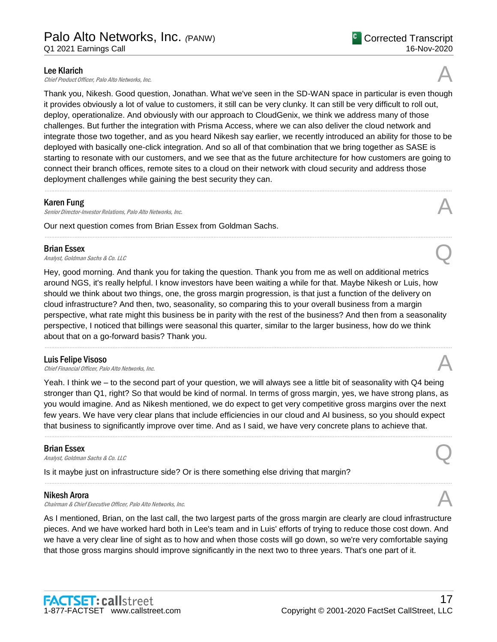**Lee Klarich**<br>Chief Product Officer. Palo Alto Networks. Inc. **Lee Klarich**<br>Chief Product Officer, Palo Alto Networks, Inc.

Thank you, Nikesh. Good question, Jonathan. What we've seen in the SD-WAN space in particular is even though it provides obviously a lot of value to customers, it still can be very clunky. It can still be very difficult to roll out, deploy, operationalize. And obviously with our approach to CloudGenix, we think we address many of those challenges. But further the integration with Prisma Access, where we can also deliver the cloud network and integrate those two together, and as you heard Nikesh say earlier, we recently introduced an ability for those to be deployed with basically one-click integration. And so all of that combination that we bring together as SASE is starting to resonate with our customers, and we see that as the future architecture for how customers are going to connect their branch offices, remote sites to a cloud on their network with cloud security and address those deployment challenges while gaining the best security they can.

......................................................................................................................................................................................................................................................

......................................................................................................................................................................................................................................................

#### Karen Fung

Senior Director-Investor Relations, Palo Alto Networks, Inc.

Our next question comes from Brian Essex from Goldman Sachs.

### Brian Essex

**Brian Essex**<br>Analyst, Goldman Sachs & Co. LLC

Hey, good morning. And thank you for taking the question. Thank you from me as well on additional metrics around NGS, it's really helpful. I know investors have been waiting a while for that. Maybe Nikesh or Luis, how should we think about two things, one, the gross margin progression, is that just a function of the delivery on cloud infrastructure? And then, two, seasonality, so comparing this to your overall business from a margin perspective, what rate might this business be in parity with the rest of the business? And then from a seasonality perspective, I noticed that billings were seasonal this quarter, similar to the larger business, how do we think about that on a go-forward basis? Thank you.

......................................................................................................................................................................................................................................................

#### Luis Felipe Visoso

Luis Felipe Visoso<br>Chief Financial Officer, Palo Alto Networks, Inc. And The Chief Chief Financial Officer, Palo Alto Networks, Inc.

Yeah. I think we – to the second part of your question, we will always see a little bit of seasonality with Q4 being stronger than Q1, right? So that would be kind of normal. In terms of gross margin, yes, we have strong plans, as you would imagine. And as Nikesh mentioned, we do expect to get very competitive gross margins over the next few years. We have very clear plans that include efficiencies in our cloud and AI business, so you should expect that business to significantly improve over time. And as I said, we have very concrete plans to achieve that.

......................................................................................................................................................................................................................................................

......................................................................................................................................................................................................................................................

## Brian Essex

**Brian Essex**<br>Analyst, Goldman Sachs & Co. LLC

Is it maybe just on infrastructure side? Or is there something else driving that margin?

#### Nikesh Arora

Chairman & Chief Executive Officer, Palo Alto Networks, Inc.

As I mentioned, Brian, on the last call, the two largest parts of the gross margin are clearly are cloud infrastructure pieces. And we have worked hard both in Lee's team and in Luis' efforts of trying to reduce those cost down. And we have a very clear line of sight as to how and when those costs will go down, so we're very comfortable saying that those gross margins should improve significantly in the next two to three years. That's one part of it.





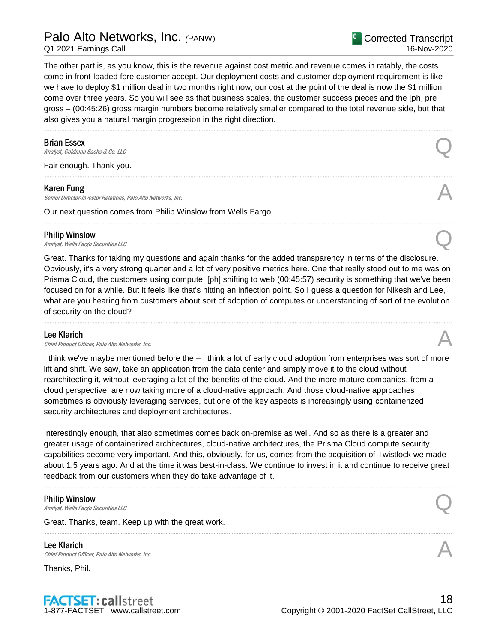# Palo Alto Networks, Inc. *(*PANW)

Q1 2021 Earnings Call

Corrected Transcript 16-Nov-2020

The other part is, as you know, this is the revenue against cost metric and revenue comes in ratably, the costs come in front-loaded fore customer accept. Our deployment costs and customer deployment requirement is like we have to deploy \$1 million deal in two months right now, our cost at the point of the deal is now the \$1 million come over three years. So you will see as that business scales, the customer success pieces and the [ph] pre gross – (00:45:26) gross margin numbers become relatively smaller compared to the total revenue side, but that also gives you a natural margin progression in the right direction.

......................................................................................................................................................................................................................................................

......................................................................................................................................................................................................................................................

......................................................................................................................................................................................................................................................

### Brian Essex

**Brian Essex**<br>Analyst, Goldman Sachs & Co. LLC

Fair enough. Thank you.

#### Karen Fung

Senior Director-Investor Relations, Palo Alto Networks, Inc.

Our next question comes from Philip Winslow from Wells Fargo.

#### Philip Winslow

**Philip Winslow**<br>Analyst, Wells Fargo Securities LLC

Great. Thanks for taking my questions and again thanks for the added transparency in terms of the disclosure. Obviously, it's a very strong quarter and a lot of very positive metrics here. One that really stood out to me was on Prisma Cloud, the customers using compute, [ph] shifting to web (00:45:57) security is something that we've been focused on for a while. But it feels like that's hitting an inflection point. So I guess a question for Nikesh and Lee, what are you hearing from customers about sort of adoption of computes or understanding of sort of the evolution of security on the cloud?

......................................................................................................................................................................................................................................................

#### Lee Klarich

**Lee Klarich**<br>Chief Product Officer, Palo Alto Networks, Inc.

I think we've maybe mentioned before the – I think a lot of early cloud adoption from enterprises was sort of more lift and shift. We saw, take an application from the data center and simply move it to the cloud without rearchitecting it, without leveraging a lot of the benefits of the cloud. And the more mature companies, from a cloud perspective, are now taking more of a cloud-native approach. And those cloud-native approaches sometimes is obviously leveraging services, but one of the key aspects is increasingly using containerized security architectures and deployment architectures.

Interestingly enough, that also sometimes comes back on-premise as well. And so as there is a greater and greater usage of containerized architectures, cloud-native architectures, the Prisma Cloud compute security capabilities become very important. And this, obviously, for us, comes from the acquisition of Twistlock we made about 1.5 years ago. And at the time it was best-in-class. We continue to invest in it and continue to receive great feedback from our customers when they do take advantage of it.

......................................................................................................................................................................................................................................................

......................................................................................................................................................................................................................................................

#### Philip Winslow

**Philip Winslow**<br>Analyst, Wells Fargo Securities LLC

Great. Thanks, team. Keep up with the great work.

Lee Klarich **Lee Klarich**<br>Chief Product Officer, Palo Alto Networks, Inc.

Thanks, Phil.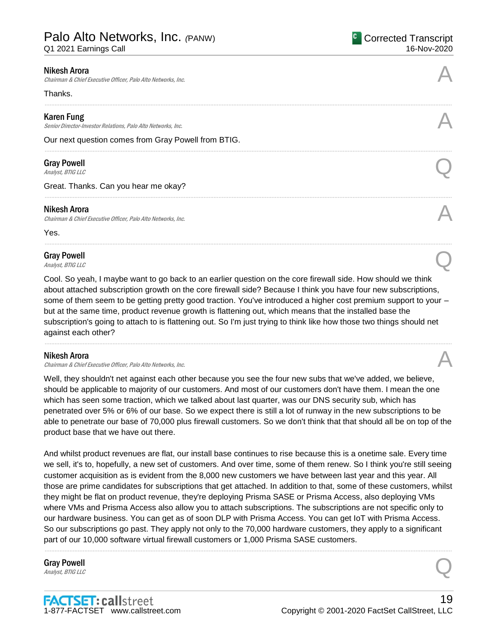Q1 2021 Earnings Call

| <b>Nikesh Arora</b><br>Chairman & Chief Executive Officer, Palo Alto Networks, Inc. |  |
|-------------------------------------------------------------------------------------|--|
| Thanks.                                                                             |  |
| <b>Karen Fung</b><br>Senior Director-Investor Relations, Palo Alto Networks, Inc.   |  |
| Our next question comes from Gray Powell from BTIG.                                 |  |
| <b>Gray Powell</b><br>Analyst, BTIG LLC                                             |  |
| Great. Thanks. Can you hear me okay?                                                |  |
|                                                                                     |  |

#### Nikesh Arora

Chairman & Chief Executive Officer, Palo Alto Networks, Inc.

Yes.

# Gray Powell Gray Powell  $\bigodot$ <br>Analyst, BTIG LLC

Cool. So yeah, I maybe want to go back to an earlier question on the core firewall side. How should we think about attached subscription growth on the core firewall side? Because I think you have four new subscriptions, some of them seem to be getting pretty good traction. You've introduced a higher cost premium support to your – but at the same time, product revenue growth is flattening out, which means that the installed base the subscription's going to attach to is flattening out. So I'm just trying to think like how those two things should net against each other?

......................................................................................................................................................................................................................................................

......................................................................................................................................................................................................................................................

#### Nikesh Arora

Chairman & Chief Executive Officer, Palo Alto Networks, Inc.

Well, they shouldn't net against each other because you see the four new subs that we've added, we believe, should be applicable to majority of our customers. And most of our customers don't have them. I mean the one which has seen some traction, which we talked about last quarter, was our DNS security sub, which has penetrated over 5% or 6% of our base. So we expect there is still a lot of runway in the new subscriptions to be able to penetrate our base of 70,000 plus firewall customers. So we don't think that that should all be on top of the product base that we have out there.

And whilst product revenues are flat, our install base continues to rise because this is a onetime sale. Every time we sell, it's to, hopefully, a new set of customers. And over time, some of them renew. So I think you're still seeing customer acquisition as is evident from the 8,000 new customers we have between last year and this year. All those are prime candidates for subscriptions that get attached. In addition to that, some of these customers, whilst they might be flat on product revenue, they're deploying Prisma SASE or Prisma Access, also deploying VMs where VMs and Prisma Access also allow you to attach subscriptions. The subscriptions are not specific only to our hardware business. You can get as of soon DLP with Prisma Access. You can get IoT with Prisma Access. So our subscriptions go past. They apply not only to the 70,000 hardware customers, they apply to a significant part of our 10,000 software virtual firewall customers or 1,000 Prisma SASE customers.

......................................................................................................................................................................................................................................................

# Gray Powell Gray Powell  $\bigodot$ <br>Analyst, BTIG LLC

**FACTSET: callstreet** 1-877-FACTSET www.callstreet.com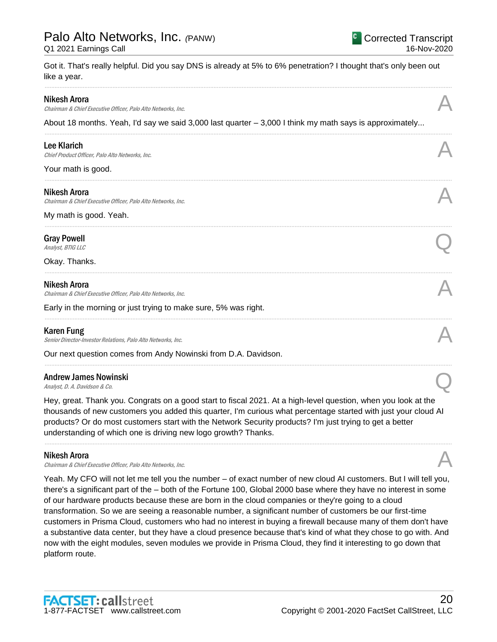# Palo Alto Networks, Inc. *(*PANW)

Q1 2021 Earnings Call

Got it. That's really helpful. Did you say DNS is already at 5% to 6% penetration? I thought that's only been out like a year.

......................................................................................................................................................................................................................................................

......................................................................................................................................................................................................................................................

......................................................................................................................................................................................................................................................

......................................................................................................................................................................................................................................................

......................................................................................................................................................................................................................................................

......................................................................................................................................................................................................................................................

......................................................................................................................................................................................................................................................

| Nikesh Arora |  |
|--------------|--|
|--------------|--|

Nikesh Arora<br>Chairman & Chief Executive Officer, Palo Alto Networks, Inc.

About 18 months. Yeah, I'd say we said 3,000 last quarter – 3,000 I think my math says is approximately...

Lee Klarich<br>Chief Product Officer, Palo Alto Networks, Inc. **Lee Klarich**<br>Chief Product Officer, Palo Alto Networks, Inc.

Your math is good.

### Nikesh Arora

Chairman & Chief Executive Officer, Palo Alto Networks, Inc.

My math is good. Yeah.

# Gray Powell Gray Powell  $\bigodot$ <br>Analyst, BTIG LLC

Okay. Thanks.

### Nikesh Arora

Chairman & Chief Executive Officer, Palo Alto Networks, Inc.

Early in the morning or just trying to make sure, 5% was right.

## Karen Fung

Senior Director-Investor Relations, Palo Alto Networks, Inc.

Our next question comes from Andy Nowinski from D.A. Davidson.

# Andrew James Nowinski Andrew James Nowinski<br>
Analyst, D. A. Davidson & Co.

Hey, great. Thank you. Congrats on a good start to fiscal 2021. At a high-level question, when you look at the thousands of new customers you added this quarter, I'm curious what percentage started with just your cloud AI products? Or do most customers start with the Network Security products? I'm just trying to get a better understanding of which one is driving new logo growth? Thanks.

......................................................................................................................................................................................................................................................

### Nikesh Arora

Chairman & Chief Executive Officer, Palo Alto Networks, Inc.

Yeah. My CFO will not let me tell you the number – of exact number of new cloud AI customers. But I will tell you, there's a significant part of the – both of the Fortune 100, Global 2000 base where they have no interest in some of our hardware products because these are born in the cloud companies or they're going to a cloud transformation. So we are seeing a reasonable number, a significant number of customers be our first-time customers in Prisma Cloud, customers who had no interest in buying a firewall because many of them don't have a substantive data center, but they have a cloud presence because that's kind of what they chose to go with. And now with the eight modules, seven modules we provide in Prisma Cloud, they find it interesting to go down that platform route.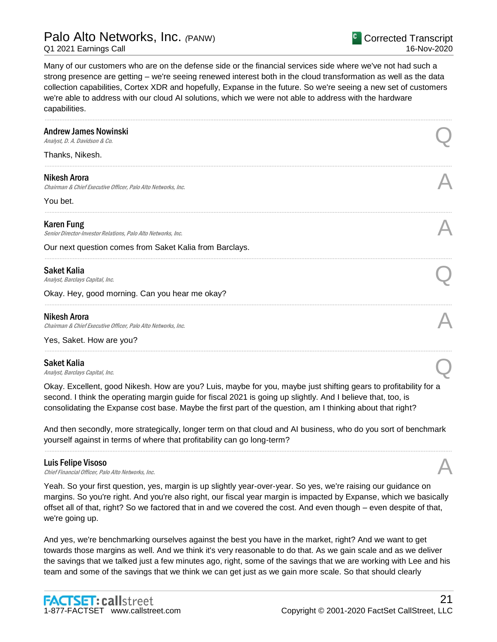Many of our customers who are on the defense side or the financial services side where we've not had such a strong presence are getting – we're seeing renewed interest both in the cloud transformation as well as the data collection capabilities, Cortex XDR and hopefully, Expanse in the future. So we're seeing a new set of customers we're able to address with our cloud AI solutions, which we were not able to address with the hardware capabilities.

| <b>Andrew James Nowinski</b><br>Analyst, D. A. Davidson & Co.                     |  |
|-----------------------------------------------------------------------------------|--|
| Thanks, Nikesh.                                                                   |  |
| Nikesh Arora<br>Chairman & Chief Executive Officer, Palo Alto Networks, Inc.      |  |
| You bet.                                                                          |  |
| <b>Karen Fung</b><br>Senior Director-Investor Relations, Palo Alto Networks, Inc. |  |
| Our next question comes from Saket Kalia from Barclays.                           |  |
| <b>Saket Kalia</b><br>Analyst, Barclays Capital, Inc.                             |  |
| Okay. Hey, good morning. Can you hear me okay?                                    |  |
| Nikesh Arora<br>Chairman & Chief Executive Officer, Palo Alto Networks, Inc.      |  |
| Yes, Saket. How are you?                                                          |  |
|                                                                                   |  |

#### Saket Kalia

Saket Kalia  $A_{nab}$ st, Barclays Capital, Inc.  $\bigodot$ 

Okay. Excellent, good Nikesh. How are you? Luis, maybe for you, maybe just shifting gears to profitability for a second. I think the operating margin guide for fiscal 2021 is going up slightly. And I believe that, too, is consolidating the Expanse cost base. Maybe the first part of the question, am I thinking about that right?

And then secondly, more strategically, longer term on that cloud and AI business, who do you sort of benchmark yourself against in terms of where that profitability can go long-term?

......................................................................................................................................................................................................................................................

**Luis Felipe Visoso**<br>Chief Financial Officer, Palo Alto Networks, Inc. Luis Felipe Visoso<br>Chief Financial Officer, Palo Alto Networks, Inc. And The Chief Chief Financial Officer, Palo Alto Networks, Inc.

Yeah. So your first question, yes, margin is up slightly year-over-year. So yes, we're raising our guidance on margins. So you're right. And you're also right, our fiscal year margin is impacted by Expanse, which we basically offset all of that, right? So we factored that in and we covered the cost. And even though – even despite of that, we're going up.

And yes, we're benchmarking ourselves against the best you have in the market, right? And we want to get towards those margins as well. And we think it's very reasonable to do that. As we gain scale and as we deliver the savings that we talked just a few minutes ago, right, some of the savings that we are working with Lee and his team and some of the savings that we think we can get just as we gain more scale. So that should clearly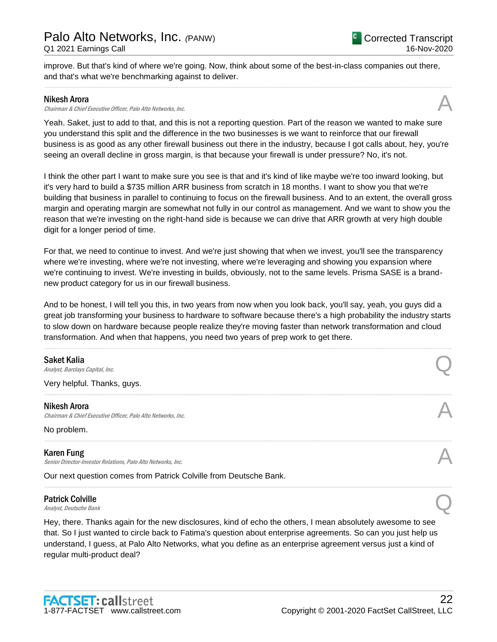improve. But that's kind of where we're going. Now, think about some of the best-in-class companies out there, and that's what we're benchmarking against to deliver.

......................................................................................................................................................................................................................................................

#### Nikesh Arora

Nikesh Arora<br>Chairman & Chief Executive Officer, Palo Alto Networks, Inc.

Yeah. Saket, just to add to that, and this is not a reporting question. Part of the reason we wanted to make sure you understand this split and the difference in the two businesses is we want to reinforce that our firewall business is as good as any other firewall business out there in the industry, because I got calls about, hey, you're seeing an overall decline in gross margin, is that because your firewall is under pressure? No, it's not.

I think the other part I want to make sure you see is that and it's kind of like maybe we're too inward looking, but it's very hard to build a \$735 million ARR business from scratch in 18 months. I want to show you that we're building that business in parallel to continuing to focus on the firewall business. And to an extent, the overall gross margin and operating margin are somewhat not fully in our control as management. And we want to show you the reason that we're investing on the right-hand side is because we can drive that ARR growth at very high double digit for a longer period of time.

For that, we need to continue to invest. And we're just showing that when we invest, you'll see the transparency where we're investing, where we're not investing, where we're leveraging and showing you expansion where we're continuing to invest. We're investing in builds, obviously, not to the same levels. Prisma SASE is a brandnew product category for us in our firewall business.

And to be honest, I will tell you this, in two years from now when you look back, you'll say, yeah, you guys did a great job transforming your business to hardware to software because there's a high probability the industry starts to slow down on hardware because people realize they're moving faster than network transformation and cloud transformation. And when that happens, you need two years of prep work to get there.

......................................................................................................................................................................................................................................................

......................................................................................................................................................................................................................................................

......................................................................................................................................................................................................................................................

......................................................................................................................................................................................................................................................

**Saket Kalia**<br>Analyst, Barclays Capital, Inc. Saket Kalia  $A_{nab}$ st, Barclays Capital, Inc.  $\bigodot$ 

Very helpful. Thanks, guys.

#### Nikesh Arora

Chairman & Chief Executive Officer, Palo Alto Networks, Inc.

No problem.

### Karen Fung

Senior Director-Investor Relations, Palo Alto Networks, Inc.

Our next question comes from Patrick Colville from Deutsche Bank.

# Patrick Colville Patrick Colville<br>Analyst, Deutsche Bank

Hey, there. Thanks again for the new disclosures, kind of echo the others, I mean absolutely awesome to see that. So I just wanted to circle back to Fatima's question about enterprise agreements. So can you just help us understand, I guess, at Palo Alto Networks, what you define as an enterprise agreement versus just a kind of regular multi-product deal?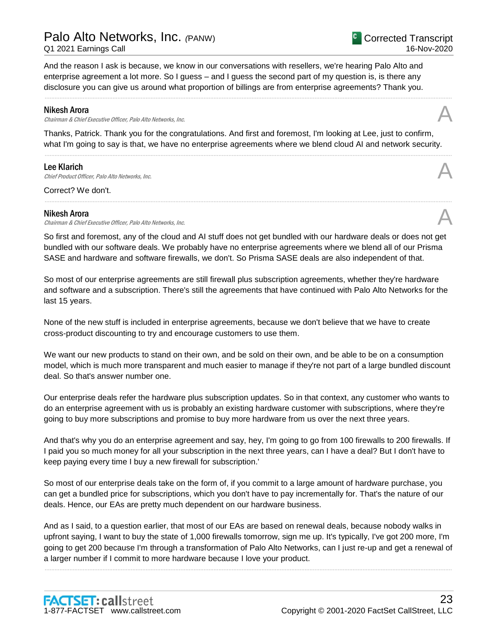# Palo Alto Networks, Inc. *(*PANW)

And the reason I ask is because, we know in our conversations with resellers, we're hearing Palo Alto and enterprise agreement a lot more. So I guess – and I guess the second part of my question is, is there any disclosure you can give us around what proportion of billings are from enterprise agreements? Thank you.

#### Nikesh Arora

Chairman & Chief Executive Officer, Palo Alto Networks, Inc.

Thanks, Patrick. Thank you for the congratulations. And first and foremost, I'm looking at Lee, just to confirm, what I'm going to say is that, we have no enterprise agreements where we blend cloud AI and network security.

......................................................................................................................................................................................................................................................

......................................................................................................................................................................................................................................................

......................................................................................................................................................................................................................................................

### Lee Klarich

**Lee Klarich**<br>Chief Product Officer, Palo Alto Networks, Inc.

Correct? We don't.

#### Nikesh Arora

Chairman & Chief Executive Officer, Palo Alto Networks, Inc.

So first and foremost, any of the cloud and AI stuff does not get bundled with our hardware deals or does not get bundled with our software deals. We probably have no enterprise agreements where we blend all of our Prisma SASE and hardware and software firewalls, we don't. So Prisma SASE deals are also independent of that.

So most of our enterprise agreements are still firewall plus subscription agreements, whether they're hardware and software and a subscription. There's still the agreements that have continued with Palo Alto Networks for the last 15 years.

None of the new stuff is included in enterprise agreements, because we don't believe that we have to create cross-product discounting to try and encourage customers to use them.

We want our new products to stand on their own, and be sold on their own, and be able to be on a consumption model, which is much more transparent and much easier to manage if they're not part of a large bundled discount deal. So that's answer number one.

Our enterprise deals refer the hardware plus subscription updates. So in that context, any customer who wants to do an enterprise agreement with us is probably an existing hardware customer with subscriptions, where they're going to buy more subscriptions and promise to buy more hardware from us over the next three years.

And that's why you do an enterprise agreement and say, hey, I'm going to go from 100 firewalls to 200 firewalls. If I paid you so much money for all your subscription in the next three years, can I have a deal? But I don't have to keep paying every time I buy a new firewall for subscription.'

So most of our enterprise deals take on the form of, if you commit to a large amount of hardware purchase, you can get a bundled price for subscriptions, which you don't have to pay incrementally for. That's the nature of our deals. Hence, our EAs are pretty much dependent on our hardware business.

And as I said, to a question earlier, that most of our EAs are based on renewal deals, because nobody walks in upfront saying, I want to buy the state of 1,000 firewalls tomorrow, sign me up. It's typically, I've got 200 more, I'm going to get 200 because I'm through a transformation of Palo Alto Networks, can I just re-up and get a renewal of a larger number if I commit to more hardware because I love your product.

......................................................................................................................................................................................................................................................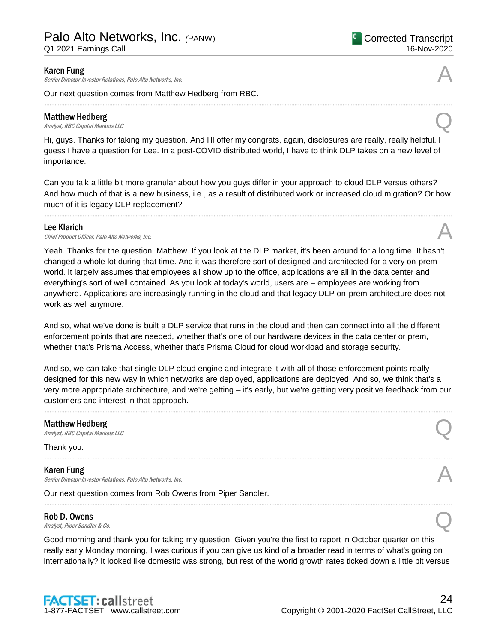Senior Director-Investor Relations, Palo Alto Networks, Inc.

Our next question comes from Matthew Hedberg from RBC.

#### Matthew Hedberg

**Matthew Hedberg**<br>Analyst, RBC Capital Markets LLC

Hi, guys. Thanks for taking my question. And I'll offer my congrats, again, disclosures are really, really helpful. I guess I have a question for Lee. In a post-COVID distributed world, I have to think DLP takes on a new level of importance.

......................................................................................................................................................................................................................................................

Can you talk a little bit more granular about how you guys differ in your approach to cloud DLP versus others? And how much of that is a new business, i.e., as a result of distributed work or increased cloud migration? Or how much of it is legacy DLP replacement?

......................................................................................................................................................................................................................................................

Lee Klarich<br>Chief Product Officer, Palo Alto Networks, Inc. **Lee Klarich**<br>Chief Product Officer, Palo Alto Networks, Inc.

Yeah. Thanks for the question, Matthew. If you look at the DLP market, it's been around for a long time. It hasn't changed a whole lot during that time. And it was therefore sort of designed and architected for a very on-prem world. It largely assumes that employees all show up to the office, applications are all in the data center and everything's sort of well contained. As you look at today's world, users are – employees are working from anywhere. Applications are increasingly running in the cloud and that legacy DLP on-prem architecture does not work as well anymore.

And so, what we've done is built a DLP service that runs in the cloud and then can connect into all the different enforcement points that are needed, whether that's one of our hardware devices in the data center or prem, whether that's Prisma Access, whether that's Prisma Cloud for cloud workload and storage security.

And so, we can take that single DLP cloud engine and integrate it with all of those enforcement points really designed for this new way in which networks are deployed, applications are deployed. And so, we think that's a very more appropriate architecture, and we're getting – it's early, but we're getting very positive feedback from our customers and interest in that approach.

......................................................................................................................................................................................................................................................

......................................................................................................................................................................................................................................................

......................................................................................................................................................................................................................................................

# **Matthew Hedberg**<br>Analyst, RBC Capital Markets LLC Matthew Hedberg  $\bigcap$  Analyst, RBC Capital Markets LLC

Thank you.

Karen Fung **Karen Fung**<br>Senior Director-Investor Relations, Palo Alto Networks, Inc.

Our next question comes from Rob Owens from Piper Sandler.

### Rob D. Owens

 $\bigcap_{\text{Analysis, Piper Sandler & Co.}}$ 

Good morning and thank you for taking my question. Given you're the first to report in October quarter on this really early Monday morning, I was curious if you can give us kind of a broader read in terms of what's going on internationally? It looked like domestic was strong, but rest of the world growth rates ticked down a little bit versus



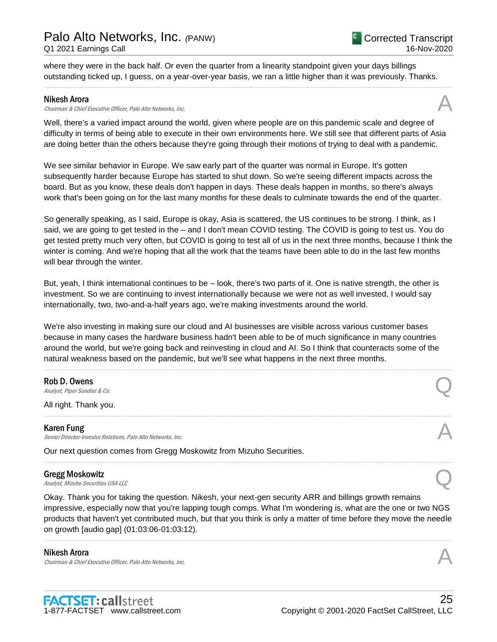where they were in the back half. Or even the quarter from a linearity standpoint given your days billings outstanding ticked up, I guess, on a year-over-year basis, we ran a little higher than it was previously. Thanks.

......................................................................................................................................................................................................................................................

#### Nikesh Arora

Chairman & Chief Executive Officer, Palo Alto Networks, Inc.

Well, there's a varied impact around the world, given where people are on this pandemic scale and degree of difficulty in terms of being able to execute in their own environments here. We still see that different parts of Asia are doing better than the others because they're going through their motions of trying to deal with a pandemic.

We see similar behavior in Europe. We saw early part of the quarter was normal in Europe. It's gotten subsequently harder because Europe has started to shut down. So we're seeing different impacts across the board. But as you know, these deals don't happen in days. These deals happen in months, so there's always work that's been going on for the last many months for these deals to culminate towards the end of the quarter.

So generally speaking, as I said, Europe is okay, Asia is scattered, the US continues to be strong. I think, as I said, we are going to get tested in the – and I don't mean COVID testing. The COVID is going to test us. You do get tested pretty much very often, but COVID is going to test all of us in the next three months, because I think the winter is coming. And we're hoping that all the work that the teams have been able to do in the last few months will bear through the winter.

But, yeah, I think international continues to be – look, there's two parts of it. One is native strength, the other is investment. So we are continuing to invest internationally because we were not as well invested, I would say internationally, two, two-and-a-half years ago, we're making investments around the world.

We're also investing in making sure our cloud and AI businesses are visible across various customer bases because in many cases the hardware business hadn't been able to be of much significance in many countries around the world, but we're going back and reinvesting in cloud and AI. So I think that counteracts some of the natural weakness based on the pandemic, but we'll see what happens in the next three months.

......................................................................................................................................................................................................................................................

......................................................................................................................................................................................................................................................

......................................................................................................................................................................................................................................................

### Rob D. Owens

 $\bigcap_{\text{Analysis, Piper Sandler & Co.}}$ 

All right. Thank you.

#### Karen Fung

Senior Director-Investor Relations, Palo Alto Networks, Inc.

Our next question comes from Gregg Moskowitz from Mizuho Securities.

### Gregg Moskowitz

Gregg Moskowitz<br>Analyst, Mizuho Securities USA LLC

Okay. Thank you for taking the question. Nikesh, your next-gen security ARR and billings growth remains impressive, especially now that you're lapping tough comps. What I'm wondering is, what are the one or two NGS products that haven't yet contributed much, but that you think is only a matter of time before they move the needle on growth [audio gap] (01:03:06-01:03:12).

......................................................................................................................................................................................................................................................

#### Nikesh Arora

Chairman & Chief Executive Officer, Palo Alto Networks, Inc.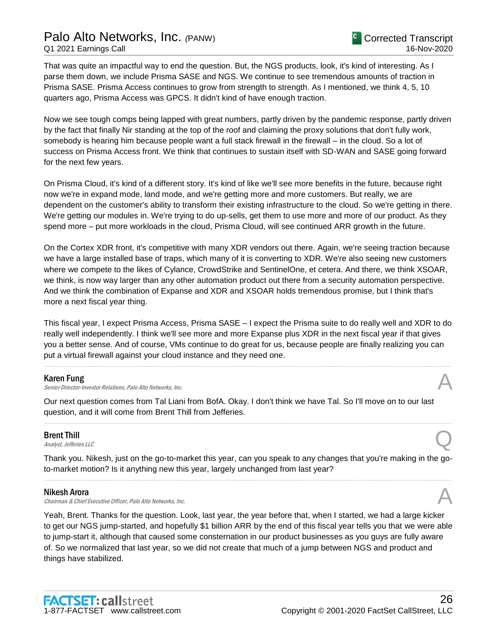That was quite an impactful way to end the question. But, the NGS products, look, it's kind of interesting. As I parse them down, we include Prisma SASE and NGS. We continue to see tremendous amounts of traction in Prisma SASE. Prisma Access continues to grow from strength to strength. As I mentioned, we think 4, 5, 10 quarters ago, Prisma Access was GPCS. It didn't kind of have enough traction.

Now we see tough comps being lapped with great numbers, partly driven by the pandemic response, partly driven by the fact that finally Nir standing at the top of the roof and claiming the proxy solutions that don't fully work, somebody is hearing him because people want a full stack firewall in the firewall – in the cloud. So a lot of success on Prisma Access front. We think that continues to sustain itself with SD-WAN and SASE going forward for the next few years.

On Prisma Cloud, it's kind of a different story. It's kind of like we'll see more benefits in the future, because right now we're in expand mode, land mode, and we're getting more and more customers. But really, we are dependent on the customer's ability to transform their existing infrastructure to the cloud. So we're getting in there. We're getting our modules in. We're trying to do up-sells, get them to use more and more of our product. As they spend more – put more workloads in the cloud, Prisma Cloud, will see continued ARR growth in the future.

On the Cortex XDR front, it's competitive with many XDR vendors out there. Again, we're seeing traction because we have a large installed base of traps, which many of it is converting to XDR. We're also seeing new customers where we compete to the likes of Cylance, CrowdStrike and SentinelOne, et cetera. And there, we think XSOAR, we think, is now way larger than any other automation product out there from a security automation perspective. And we think the combination of Expanse and XDR and XSOAR holds tremendous promise, but I think that's more a next fiscal year thing.

This fiscal year, I expect Prisma Access, Prisma SASE – I expect the Prisma suite to do really well and XDR to do really well independently. I think we'll see more and more Expanse plus XDR in the next fiscal year if that gives you a better sense. And of course, VMs continue to do great for us, because people are finally realizing you can put a virtual firewall against your cloud instance and they need one.

......................................................................................................................................................................................................................................................

### Karen Fung

Senior Director-Investor Relations, Palo Alto Networks, Inc.

Our next question comes from Tal Liani from BofA. Okay. I don't think we have Tal. So I'll move on to our last question, and it will come from Brent Thill from Jefferies.

### Brent Thill

**Brent Thill**<br>Analyst, Jefferies LLC

Thank you. Nikesh, just on the go-to-market this year, can you speak to any changes that you're making in the goto-market motion? Is it anything new this year, largely unchanged from last year? ......................................................................................................................................................................................................................................................

......................................................................................................................................................................................................................................................

#### Nikesh Arora

Nikesh Arora<br>Chairman & Chief Executive Officer, Palo Alto Networks, Inc.

Yeah, Brent. Thanks for the question. Look, last year, the year before that, when I started, we had a large kicker to get our NGS jump-started, and hopefully \$1 billion ARR by the end of this fiscal year tells you that we were able to jump-start it, although that caused some consternation in our product businesses as you guys are fully aware of. So we normalized that last year, so we did not create that much of a jump between NGS and product and things have stabilized.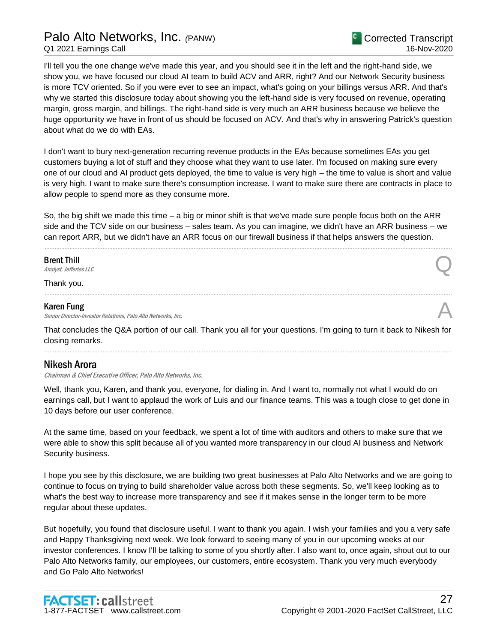I'll tell you the one change we've made this year, and you should see it in the left and the right-hand side, we show you, we have focused our cloud AI team to build ACV and ARR, right? And our Network Security business is more TCV oriented. So if you were ever to see an impact, what's going on your billings versus ARR. And that's why we started this disclosure today about showing you the left-hand side is very focused on revenue, operating margin, gross margin, and billings. The right-hand side is very much an ARR business because we believe the huge opportunity we have in front of us should be focused on ACV. And that's why in answering Patrick's question about what do we do with EAs.

I don't want to bury next-generation recurring revenue products in the EAs because sometimes EAs you get customers buying a lot of stuff and they choose what they want to use later. I'm focused on making sure every one of our cloud and AI product gets deployed, the time to value is very high – the time to value is short and value is very high. I want to make sure there's consumption increase. I want to make sure there are contracts in place to allow people to spend more as they consume more.

So, the big shift we made this time – a big or minor shift is that we've made sure people focus both on the ARR side and the TCV side on our business – sales team. As you can imagine, we didn't have an ARR business – we can report ARR, but we didn't have an ARR focus on our firewall business if that helps answers the question.

......................................................................................................................................................................................................................................................

Brent Thill

**Brent Thill**<br>Analyst, Jefferies LLC

Thank you.

#### Karen Fung

Senior Director-Investor Relations, Palo Alto Networks, Inc.

That concludes the Q&A portion of our call. Thank you all for your questions. I'm going to turn it back to Nikesh for closing remarks. ......................................................................................................................................................................................................................................................

......................................................................................................................................................................................................................................................

## Nikesh Arora

Chairman & Chief Executive Officer, Palo Alto Networks, Inc.

Well, thank you, Karen, and thank you, everyone, for dialing in. And I want to, normally not what I would do on earnings call, but I want to applaud the work of Luis and our finance teams. This was a tough close to get done in 10 days before our user conference.

At the same time, based on your feedback, we spent a lot of time with auditors and others to make sure that we were able to show this split because all of you wanted more transparency in our cloud AI business and Network Security business.

I hope you see by this disclosure, we are building two great businesses at Palo Alto Networks and we are going to continue to focus on trying to build shareholder value across both these segments. So, we'll keep looking as to what's the best way to increase more transparency and see if it makes sense in the longer term to be more regular about these updates.

But hopefully, you found that disclosure useful. I want to thank you again. I wish your families and you a very safe and Happy Thanksgiving next week. We look forward to seeing many of you in our upcoming weeks at our investor conferences. I know I'll be talking to some of you shortly after. I also want to, once again, shout out to our Palo Alto Networks family, our employees, our customers, entire ecosystem. Thank you very much everybody and Go Palo Alto Networks!